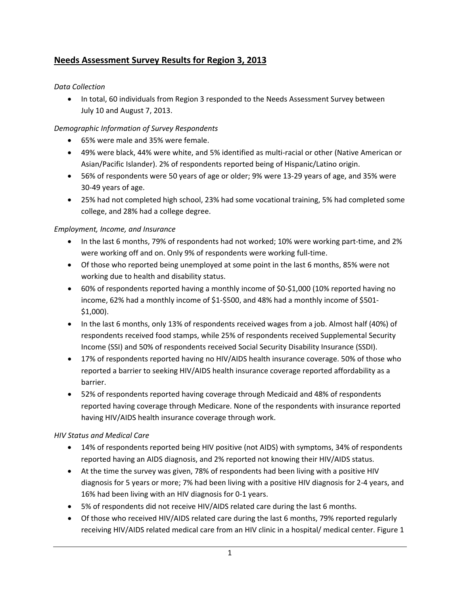# **Needs Assessment Survey Results for Region 3, 2013**

# *Data Collection*

• In total, 60 individuals from Region 3 responded to the Needs Assessment Survey between July 10 and August 7, 2013.

# *Demographic Information of Survey Respondents*

- 65% were male and 35% were female.
- 49% were black, 44% were white, and 5% identified as multi‐racial or other (Native American or Asian/Pacific Islander). 2% of respondents reported being of Hispanic/Latino origin.
- 56% of respondents were 50 years of age or older; 9% were 13‐29 years of age, and 35% were 30‐49 years of age.
- 25% had not completed high school, 23% had some vocational training, 5% had completed some college, and 28% had a college degree.

# *Employment, Income, and Insurance*

- In the last 6 months, 79% of respondents had not worked; 10% were working part-time, and 2% were working off and on. Only 9% of respondents were working full-time.
- Of those who reported being unemployed at some point in the last 6 months, 85% were not working due to health and disability status.
- 60% of respondents reported having a monthly income of \$0-\$1,000 (10% reported having no income, 62% had a monthly income of \$1‐\$500, and 48% had a monthly income of \$501‐ \$1,000).
- In the last 6 months, only 13% of respondents received wages from a job. Almost half (40%) of respondents received food stamps, while 25% of respondents received Supplemental Security Income (SSI) and 50% of respondents received Social Security Disability Insurance (SSDI).
- 17% of respondents reported having no HIV/AIDS health insurance coverage. 50% of those who reported a barrier to seeking HIV/AIDS health insurance coverage reported affordability as a barrier.
- 52% of respondents reported having coverage through Medicaid and 48% of respondents reported having coverage through Medicare. None of the respondents with insurance reported having HIV/AIDS health insurance coverage through work.

### *HIV Status and Medical Care*

- 14% of respondents reported being HIV positive (not AIDS) with symptoms, 34% of respondents reported having an AIDS diagnosis, and 2% reported not knowing their HIV/AIDS status.
- At the time the survey was given, 78% of respondents had been living with a positive HIV diagnosis for 5 years or more; 7% had been living with a positive HIV diagnosis for 2‐4 years, and 16% had been living with an HIV diagnosis for 0‐1 years.
- 5% of respondents did not receive HIV/AIDS related care during the last 6 months.
- Of those who received HIV/AIDS related care during the last 6 months, 79% reported regularly receiving HIV/AIDS related medical care from an HIV clinic in a hospital/ medical center. Figure 1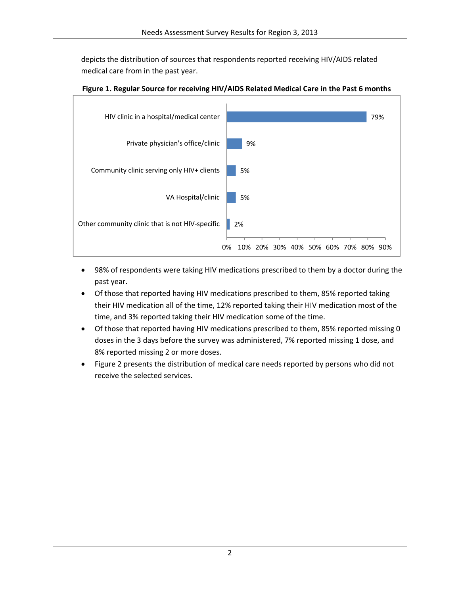depicts the distribution of sources that respondents reported receiving HIV/AIDS related medical care from in the past year.



**Figure 1. Regular Source for receiving HIV/AIDS Related Medical Care in the Past 6 months**

- 98% of respondents were taking HIV medications prescribed to them by a doctor during the past year.
- Of those that reported having HIV medications prescribed to them, 85% reported taking their HIV medication all of the time, 12% reported taking their HIV medication most of the time, and 3% reported taking their HIV medication some of the time.
- Of those that reported having HIV medications prescribed to them, 85% reported missing 0 doses in the 3 days before the survey was administered, 7% reported missing 1 dose, and 8% reported missing 2 or more doses.
- Figure 2 presents the distribution of medical care needs reported by persons who did not receive the selected services.